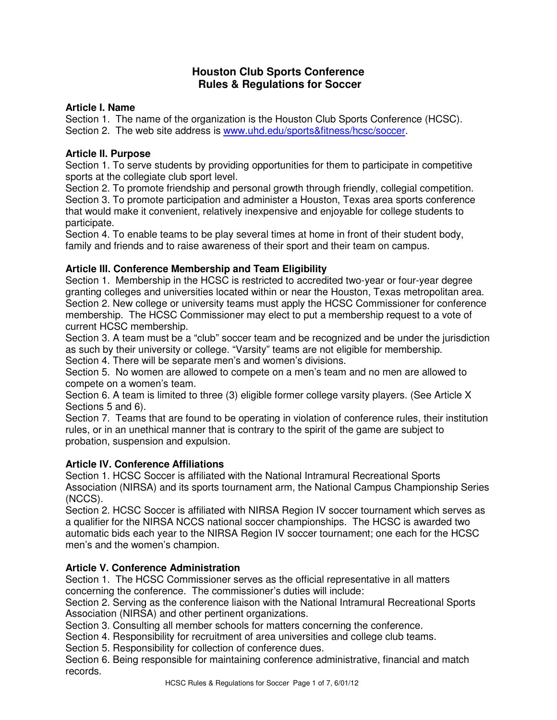# **Houston Club Sports Conference Rules & Regulations for Soccer**

## **Article I. Name**

Section 1. The name of the organization is the Houston Club Sports Conference (HCSC). Section 2. The web site address is www.uhd.edu/sports&fitness/hcsc/soccer.

## **Article II. Purpose**

Section 1. To serve students by providing opportunities for them to participate in competitive sports at the collegiate club sport level.

Section 2. To promote friendship and personal growth through friendly, collegial competition. Section 3. To promote participation and administer a Houston, Texas area sports conference that would make it convenient, relatively inexpensive and enjoyable for college students to participate.

Section 4. To enable teams to be play several times at home in front of their student body, family and friends and to raise awareness of their sport and their team on campus.

## **Article III. Conference Membership and Team Eligibility**

Section 1.Membership in the HCSC is restricted to accredited two-year or four-year degree granting colleges and universities located within or near the Houston, Texas metropolitan area. Section 2. New college or university teams must apply the HCSC Commissioner for conference membership. The HCSC Commissioner may elect to put a membership request to a vote of current HCSC membership.

Section 3. A team must be a "club" soccer team and be recognized and be under the jurisdiction as such by their university or college. "Varsity" teams are not eligible for membership. Section 4. There will be separate men's and women's divisions.

Section 5. No women are allowed to compete on a men's team and no men are allowed to compete on a women's team.

Section 6. A team is limited to three (3) eligible former college varsity players. (See Article X Sections 5 and 6).

Section 7. Teams that are found to be operating in violation of conference rules, their institution rules, or in an unethical manner that is contrary to the spirit of the game are subject to probation, suspension and expulsion.

## **Article IV. Conference Affiliations**

Section 1. HCSC Soccer is affiliated with the National Intramural Recreational Sports Association (NIRSA) and its sports tournament arm, the National Campus Championship Series (NCCS).

Section 2. HCSC Soccer is affiliated with NIRSA Region IV soccer tournament which serves as a qualifier for the NIRSA NCCS national soccer championships. The HCSC is awarded two automatic bids each year to the NIRSA Region IV soccer tournament; one each for the HCSC men's and the women's champion.

## **Article V. Conference Administration**

Section 1.The HCSC Commissioner serves as the official representative in all matters concerning the conference. The commissioner's duties will include:

Section 2. Serving as the conference liaison with the National Intramural Recreational Sports Association (NIRSA) and other pertinent organizations.

Section 3. Consulting all member schools for matters concerning the conference.

Section 4. Responsibility for recruitment of area universities and college club teams.

Section 5. Responsibility for collection of conference dues.

Section 6. Being responsible for maintaining conference administrative, financial and match records.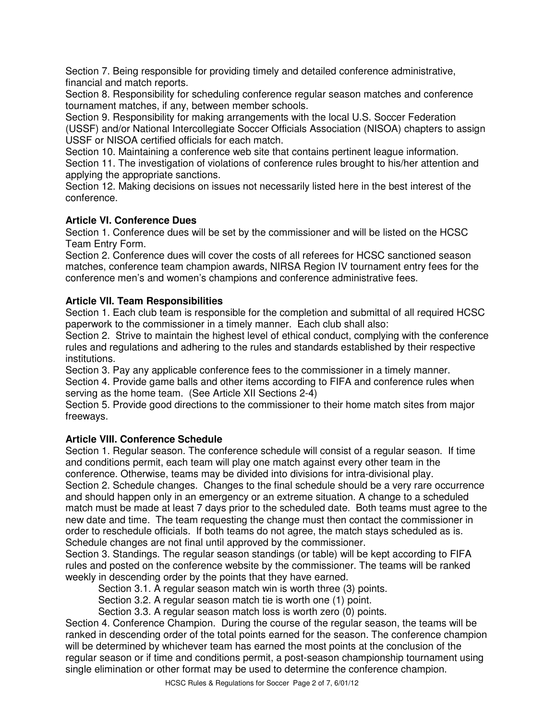Section 7. Being responsible for providing timely and detailed conference administrative, financial and match reports.

Section 8. Responsibility for scheduling conference regular season matches and conference tournament matches, if any, between member schools.

Section 9. Responsibility for making arrangements with the local U.S. Soccer Federation (USSF) and/or National Intercollegiate Soccer Officials Association (NISOA) chapters to assign USSF or NISOA certified officials for each match.

Section 10. Maintaining a conference web site that contains pertinent league information. Section 11. The investigation of violations of conference rules brought to his/her attention and applying the appropriate sanctions.

Section 12. Making decisions on issues not necessarily listed here in the best interest of the conference.

## **Article VI. Conference Dues**

Section 1. Conference dues will be set by the commissioner and will be listed on the HCSC Team Entry Form.

Section 2. Conference dues will cover the costs of all referees for HCSC sanctioned season matches, conference team champion awards, NIRSA Region IV tournament entry fees for the conference men's and women's champions and conference administrative fees.

### **Article VII. Team Responsibilities**

Section 1. Each club team is responsible for the completion and submittal of all required HCSC paperwork to the commissioner in a timely manner. Each club shall also:

Section 2. Strive to maintain the highest level of ethical conduct, complying with the conference rules and regulations and adhering to the rules and standards established by their respective institutions.

Section 3. Pay any applicable conference fees to the commissioner in a timely manner. Section 4. Provide game balls and other items according to FIFA and conference rules when serving as the home team. (See Article XII Sections 2-4)

Section 5. Provide good directions to the commissioner to their home match sites from major freeways.

## **Article VIII. Conference Schedule**

Section 1. Regular season. The conference schedule will consist of a regular season. If time and conditions permit, each team will play one match against every other team in the conference. Otherwise, teams may be divided into divisions for intra-divisional play. Section 2. Schedule changes. Changes to the final schedule should be a very rare occurrence and should happen only in an emergency or an extreme situation. A change to a scheduled

match must be made at least 7 days prior to the scheduled date. Both teams must agree to the new date and time. The team requesting the change must then contact the commissioner in order to reschedule officials. If both teams do not agree, the match stays scheduled as is. Schedule changes are not final until approved by the commissioner.

Section 3. Standings. The regular season standings (or table) will be kept according to FIFA rules and posted on the conference website by the commissioner. The teams will be ranked weekly in descending order by the points that they have earned.

Section 3.1. A regular season match win is worth three (3) points.

Section 3.2. A regular season match tie is worth one (1) point.

Section 3.3. A regular season match loss is worth zero (0) points.

Section 4. Conference Champion. During the course of the regular season, the teams will be ranked in descending order of the total points earned for the season. The conference champion will be determined by whichever team has earned the most points at the conclusion of the regular season or if time and conditions permit, a post-season championship tournament using single elimination or other format may be used to determine the conference champion.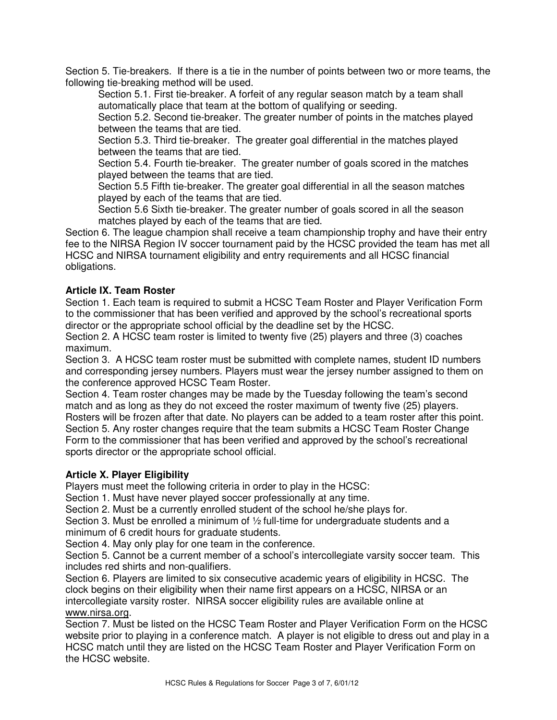Section 5. Tie-breakers. If there is a tie in the number of points between two or more teams, the following tie-breaking method will be used.

Section 5.1. First tie-breaker. A forfeit of any regular season match by a team shall automatically place that team at the bottom of qualifying or seeding.

Section 5.2. Second tie-breaker. The greater number of points in the matches played between the teams that are tied.

Section 5.3. Third tie-breaker. The greater goal differential in the matches played between the teams that are tied.

Section 5.4. Fourth tie-breaker. The greater number of goals scored in the matches played between the teams that are tied.

Section 5.5 Fifth tie-breaker. The greater goal differential in all the season matches played by each of the teams that are tied.

Section 5.6 Sixth tie-breaker. The greater number of goals scored in all the season matches played by each of the teams that are tied.

Section 6. The league champion shall receive a team championship trophy and have their entry fee to the NIRSA Region IV soccer tournament paid by the HCSC provided the team has met all HCSC and NIRSA tournament eligibility and entry requirements and all HCSC financial obligations.

## **Article IX. Team Roster**

Section 1. Each team is required to submit a HCSC Team Roster and Player Verification Form to the commissioner that has been verified and approved by the school's recreational sports director or the appropriate school official by the deadline set by the HCSC.

Section 2. A HCSC team roster is limited to twenty five (25) players and three (3) coaches maximum.

Section 3. A HCSC team roster must be submitted with complete names, student ID numbers and corresponding jersey numbers. Players must wear the jersey number assigned to them on the conference approved HCSC Team Roster.

Section 4. Team roster changes may be made by the Tuesday following the team's second match and as long as they do not exceed the roster maximum of twenty five (25) players. Rosters will be frozen after that date. No players can be added to a team roster after this point. Section 5. Any roster changes require that the team submits a HCSC Team Roster Change Form to the commissioner that has been verified and approved by the school's recreational sports director or the appropriate school official.

### **Article X. Player Eligibility**

Players must meet the following criteria in order to play in the HCSC:

Section 1. Must have never played soccer professionally at any time.

Section 2. Must be a currently enrolled student of the school he/she plays for.

Section 3. Must be enrolled a minimum of ½ full-time for undergraduate students and a minimum of 6 credit hours for graduate students.

Section 4. May only play for one team in the conference.

Section 5. Cannot be a current member of a school's intercollegiate varsity soccer team. This includes red shirts and non-qualifiers.

Section 6. Players are limited to six consecutive academic years of eligibility in HCSC. The clock begins on their eligibility when their name first appears on a HCSC, NIRSA or an intercollegiate varsity roster. NIRSA soccer eligibility rules are available online at www.nirsa.org.

Section 7. Must be listed on the HCSC Team Roster and Player Verification Form on the HCSC website prior to playing in a conference match. A player is not eligible to dress out and play in a HCSC match until they are listed on the HCSC Team Roster and Player Verification Form on the HCSC website.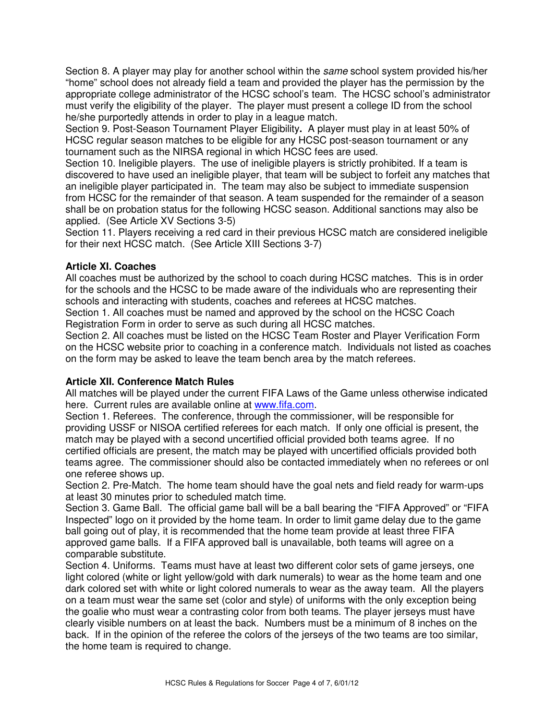Section 8. A player may play for another school within the same school system provided his/her "home" school does not already field a team and provided the player has the permission by the appropriate college administrator of the HCSC school's team. The HCSC school's administrator must verify the eligibility of the player. The player must present a college ID from the school he/she purportedly attends in order to play in a league match.

Section 9. Post-Season Tournament Player Eligibility**.** A player must play in at least 50% of HCSC regular season matches to be eligible for any HCSC post-season tournament or any tournament such as the NIRSA regional in which HCSC fees are used.

Section 10. Ineligible players. The use of ineligible players is strictly prohibited. If a team is discovered to have used an ineligible player, that team will be subject to forfeit any matches that an ineligible player participated in. The team may also be subject to immediate suspension from HCSC for the remainder of that season. A team suspended for the remainder of a season shall be on probation status for the following HCSC season. Additional sanctions may also be applied. (See Article XV Sections 3-5)

Section 11. Players receiving a red card in their previous HCSC match are considered ineligible for their next HCSC match. (See Article XIII Sections 3-7)

### **Article XI. Coaches**

All coaches must be authorized by the school to coach during HCSC matches. This is in order for the schools and the HCSC to be made aware of the individuals who are representing their schools and interacting with students, coaches and referees at HCSC matches.

Section 1. All coaches must be named and approved by the school on the HCSC Coach Registration Form in order to serve as such during all HCSC matches.

Section 2. All coaches must be listed on the HCSC Team Roster and Player Verification Form on the HCSC website prior to coaching in a conference match. Individuals not listed as coaches on the form may be asked to leave the team bench area by the match referees.

### **Article XII. Conference Match Rules**

All matches will be played under the current FIFA Laws of the Game unless otherwise indicated here. Current rules are available online at www.fifa.com.

Section 1. Referees. The conference, through the commissioner, will be responsible for providing USSF or NISOA certified referees for each match. If only one official is present, the match may be played with a second uncertified official provided both teams agree. If no certified officials are present, the match may be played with uncertified officials provided both teams agree. The commissioner should also be contacted immediately when no referees or onl one referee shows up.

Section 2. Pre-Match. The home team should have the goal nets and field ready for warm-ups at least 30 minutes prior to scheduled match time.

Section 3. Game Ball. The official game ball will be a ball bearing the "FIFA Approved" or "FIFA Inspected" logo on it provided by the home team. In order to limit game delay due to the game ball going out of play, it is recommended that the home team provide at least three FIFA approved game balls. If a FIFA approved ball is unavailable, both teams will agree on a comparable substitute.

Section 4. Uniforms. Teams must have at least two different color sets of game jerseys, one light colored (white or light yellow/gold with dark numerals) to wear as the home team and one dark colored set with white or light colored numerals to wear as the away team. All the players on a team must wear the same set (color and style) of uniforms with the only exception being the goalie who must wear a contrasting color from both teams. The player jerseys must have clearly visible numbers on at least the back. Numbers must be a minimum of 8 inches on the back. If in the opinion of the referee the colors of the jerseys of the two teams are too similar, the home team is required to change.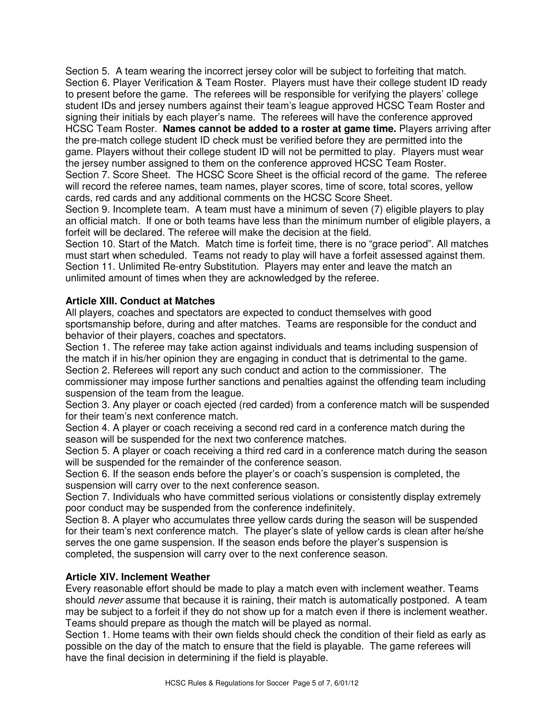Section 5. A team wearing the incorrect jersey color will be subject to forfeiting that match. Section 6. Player Verification & Team Roster. Players must have their college student ID ready to present before the game. The referees will be responsible for verifying the players' college student IDs and jersey numbers against their team's league approved HCSC Team Roster and signing their initials by each player's name. The referees will have the conference approved HCSC Team Roster. **Names cannot be added to a roster at game time.** Players arriving after the pre-match college student ID check must be verified before they are permitted into the game. Players without their college student ID will not be permitted to play. Players must wear the jersey number assigned to them on the conference approved HCSC Team Roster. Section 7. Score Sheet. The HCSC Score Sheet is the official record of the game. The referee will record the referee names, team names, player scores, time of score, total scores, yellow cards, red cards and any additional comments on the HCSC Score Sheet.

Section 9. Incomplete team. A team must have a minimum of seven (7) eligible players to play an official match. If one or both teams have less than the minimum number of eligible players, a forfeit will be declared. The referee will make the decision at the field.

Section 10. Start of the Match. Match time is forfeit time, there is no "grace period". All matches must start when scheduled. Teams not ready to play will have a forfeit assessed against them. Section 11. Unlimited Re-entry Substitution. Players may enter and leave the match an unlimited amount of times when they are acknowledged by the referee.

## **Article XIII. Conduct at Matches**

All players, coaches and spectators are expected to conduct themselves with good sportsmanship before, during and after matches. Teams are responsible for the conduct and behavior of their players, coaches and spectators.

Section 1. The referee may take action against individuals and teams including suspension of the match if in his/her opinion they are engaging in conduct that is detrimental to the game. Section 2. Referees will report any such conduct and action to the commissioner. The commissioner may impose further sanctions and penalties against the offending team including suspension of the team from the league.

Section 3. Any player or coach ejected (red carded) from a conference match will be suspended for their team's next conference match.

Section 4. A player or coach receiving a second red card in a conference match during the season will be suspended for the next two conference matches.

Section 5. A player or coach receiving a third red card in a conference match during the season will be suspended for the remainder of the conference season.

Section 6. If the season ends before the player's or coach's suspension is completed, the suspension will carry over to the next conference season.

Section 7. Individuals who have committed serious violations or consistently display extremely poor conduct may be suspended from the conference indefinitely.

Section 8. A player who accumulates three yellow cards during the season will be suspended for their team's next conference match. The player's slate of yellow cards is clean after he/she serves the one game suspension. If the season ends before the player's suspension is completed, the suspension will carry over to the next conference season.

### **Article XIV. Inclement Weather**

Every reasonable effort should be made to play a match even with inclement weather. Teams should *never* assume that because it is raining, their match is automatically postponed. A team may be subject to a forfeit if they do not show up for a match even if there is inclement weather. Teams should prepare as though the match will be played as normal.

Section 1. Home teams with their own fields should check the condition of their field as early as possible on the day of the match to ensure that the field is playable. The game referees will have the final decision in determining if the field is playable.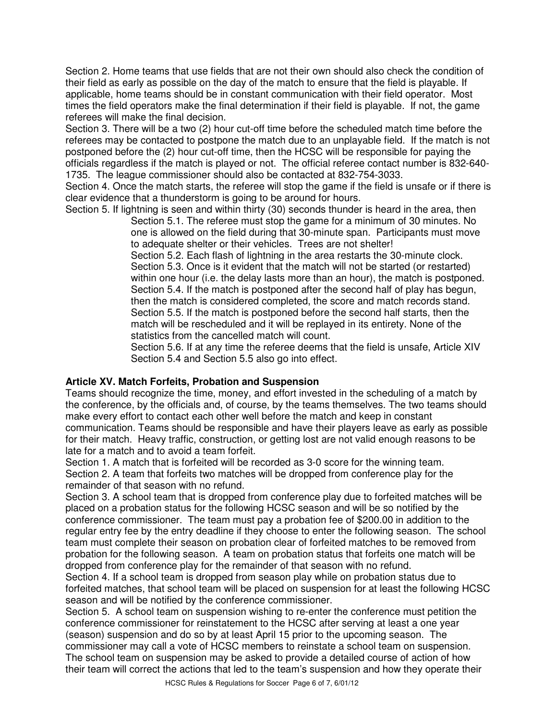Section 2. Home teams that use fields that are not their own should also check the condition of their field as early as possible on the day of the match to ensure that the field is playable. If applicable, home teams should be in constant communication with their field operator. Most times the field operators make the final determination if their field is playable. If not, the game referees will make the final decision.

Section 3. There will be a two (2) hour cut-off time before the scheduled match time before the referees may be contacted to postpone the match due to an unplayable field. If the match is not postponed before the (2) hour cut-off time, then the HCSC will be responsible for paying the officials regardless if the match is played or not. The official referee contact number is 832-640- 1735. The league commissioner should also be contacted at 832-754-3033.

Section 4. Once the match starts, the referee will stop the game if the field is unsafe or if there is clear evidence that a thunderstorm is going to be around for hours.

Section 5. If lightning is seen and within thirty (30) seconds thunder is heard in the area, then Section 5.1. The referee must stop the game for a minimum of 30 minutes. No one is allowed on the field during that 30-minute span. Participants must move to adequate shelter or their vehicles. Trees are not shelter!

Section 5.2. Each flash of lightning in the area restarts the 30-minute clock. Section 5.3. Once is it evident that the match will not be started (or restarted) within one hour (i.e. the delay lasts more than an hour), the match is postponed. Section 5.4. If the match is postponed after the second half of play has begun, then the match is considered completed, the score and match records stand. Section 5.5. If the match is postponed before the second half starts, then the match will be rescheduled and it will be replayed in its entirety. None of the statistics from the cancelled match will count.

Section 5.6. If at any time the referee deems that the field is unsafe, Article XIV Section 5.4 and Section 5.5 also go into effect.

### **Article XV. Match Forfeits, Probation and Suspension**

Teams should recognize the time, money, and effort invested in the scheduling of a match by the conference, by the officials and, of course, by the teams themselves. The two teams should make every effort to contact each other well before the match and keep in constant communication. Teams should be responsible and have their players leave as early as possible for their match. Heavy traffic, construction, or getting lost are not valid enough reasons to be late for a match and to avoid a team forfeit.

Section 1. A match that is forfeited will be recorded as 3-0 score for the winning team. Section 2. A team that forfeits two matches will be dropped from conference play for the remainder of that season with no refund.

Section 3. A school team that is dropped from conference play due to forfeited matches will be placed on a probation status for the following HCSC season and will be so notified by the conference commissioner. The team must pay a probation fee of \$200.00 in addition to the regular entry fee by the entry deadline if they choose to enter the following season. The school team must complete their season on probation clear of forfeited matches to be removed from probation for the following season. A team on probation status that forfeits one match will be dropped from conference play for the remainder of that season with no refund.

Section 4. If a school team is dropped from season play while on probation status due to forfeited matches, that school team will be placed on suspension for at least the following HCSC season and will be notified by the conference commissioner.

Section 5. A school team on suspension wishing to re-enter the conference must petition the conference commissioner for reinstatement to the HCSC after serving at least a one year (season) suspension and do so by at least April 15 prior to the upcoming season. The commissioner may call a vote of HCSC members to reinstate a school team on suspension. The school team on suspension may be asked to provide a detailed course of action of how their team will correct the actions that led to the team's suspension and how they operate their